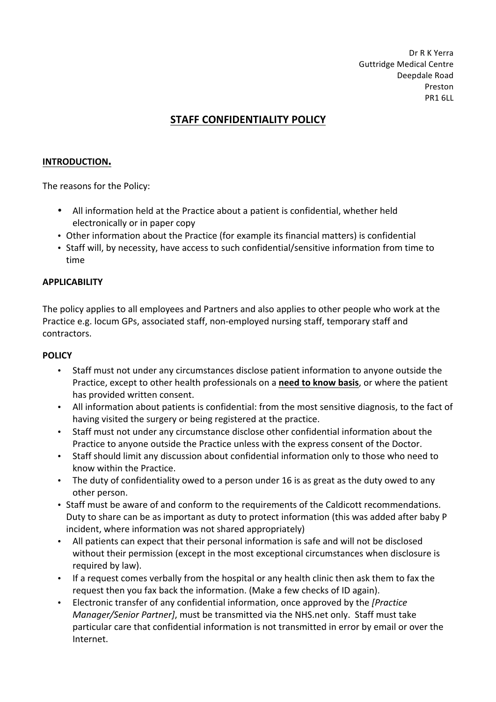Dr R K Yerra Guttridge Medical Centre Deepdale Road Preston PR1 6LL

# **STAFF CONFIDENTIALITY POLICY**

#### **INTRODUCTION.**

The reasons for the Policy:

- All information held at the Practice about a patient is confidential, whether held electronically or in paper copy
- Other information about the Practice (for example its financial matters) is confidential
- Staff will, by necessity, have access to such confidential/sensitive information from time to time

#### **APPLICABILITY**

The policy applies to all employees and Partners and also applies to other people who work at the Practice e.g. locum GPs, associated staff, non-employed nursing staff, temporary staff and contractors.

#### **POLICY**

- Staff must not under any circumstances disclose patient information to anyone outside the Practice, except to other health professionals on a need to know basis, or where the patient has provided written consent.
- All information about patients is confidential: from the most sensitive diagnosis, to the fact of having visited the surgery or being registered at the practice.
- Staff must not under any circumstance disclose other confidential information about the Practice to anyone outside the Practice unless with the express consent of the Doctor.
- Staff should limit any discussion about confidential information only to those who need to know within the Practice.
- The duty of confidentiality owed to a person under 16 is as great as the duty owed to any other person.
- Staff must be aware of and conform to the requirements of the Caldicott recommendations. Duty to share can be as important as duty to protect information (this was added after baby P incident, where information was not shared appropriately)
- All patients can expect that their personal information is safe and will not be disclosed without their permission (except in the most exceptional circumstances when disclosure is required by law).
- If a request comes verbally from the hospital or any health clinic then ask them to fax the request then you fax back the information. (Make a few checks of ID again).
- Electronic transfer of any confidential information, once approved by the *[Practice Manager/Senior Partner]*, must be transmitted via the NHS.net only. Staff must take particular care that confidential information is not transmitted in error by email or over the Internet.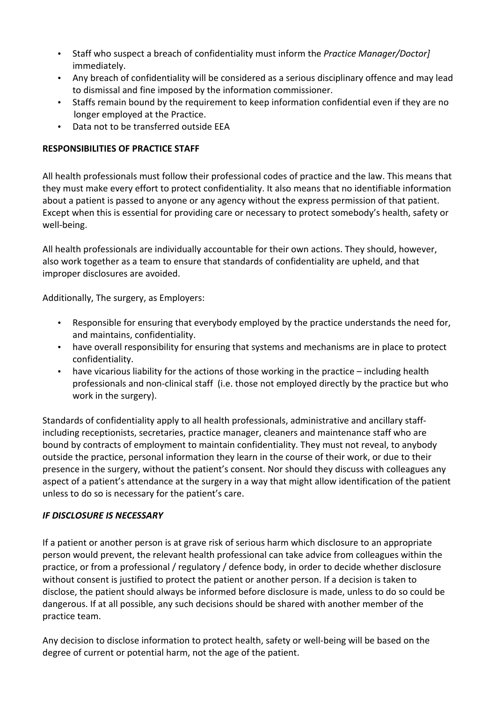- Staff who suspect a breach of confidentiality must inform the *Practice Manager/Doctor]* immediately.
- Any breach of confidentiality will be considered as a serious disciplinary offence and may lead to dismissal and fine imposed by the information commissioner.
- Staffs remain bound by the requirement to keep information confidential even if they are no longer employed at the Practice.
- Data not to be transferred outside EEA

## **RESPONSIBILITIES OF PRACTICE STAFF**

All health professionals must follow their professional codes of practice and the law. This means that they must make every effort to protect confidentiality. It also means that no identifiable information about a patient is passed to anyone or any agency without the express permission of that patient. Except when this is essential for providing care or necessary to protect somebody's health, safety or well-being.

All health professionals are individually accountable for their own actions. They should, however, also work together as a team to ensure that standards of confidentiality are upheld, and that improper disclosures are avoided.

Additionally, The surgery, as Employers:

- Responsible for ensuring that everybody employed by the practice understands the need for, and maintains, confidentiality.
- have overall responsibility for ensuring that systems and mechanisms are in place to protect confidentiality.
- have vicarious liability for the actions of those working in the practice  $-$  including health professionals and non-clinical staff (i.e. those not employed directly by the practice but who work in the surgery).

Standards of confidentiality apply to all health professionals, administrative and ancillary staffincluding receptionists, secretaries, practice manager, cleaners and maintenance staff who are bound by contracts of employment to maintain confidentiality. They must not reveal, to anybody outside the practice, personal information they learn in the course of their work, or due to their presence in the surgery, without the patient's consent. Nor should they discuss with colleagues any aspect of a patient's attendance at the surgery in a way that might allow identification of the patient unless to do so is necessary for the patient's care.

### *IF DISCLOSURE IS NECESSARY*

If a patient or another person is at grave risk of serious harm which disclosure to an appropriate person would prevent, the relevant health professional can take advice from colleagues within the practice, or from a professional / regulatory / defence body, in order to decide whether disclosure without consent is justified to protect the patient or another person. If a decision is taken to disclose, the patient should always be informed before disclosure is made, unless to do so could be dangerous. If at all possible, any such decisions should be shared with another member of the practice team.

Any decision to disclose information to protect health, safety or well-being will be based on the degree of current or potential harm, not the age of the patient.